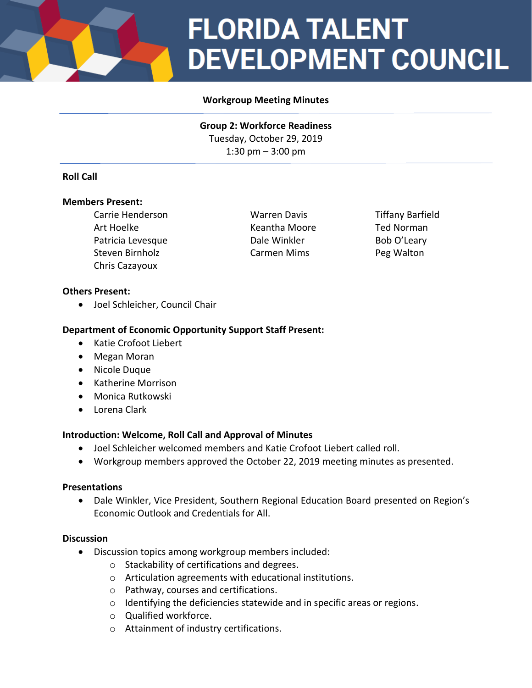# **FLORIDA TALENT DEVELOPMENT COUNCIL**

## **Workgroup Meeting Minutes**

**Group 2: Workforce Readiness** Tuesday, October 29, 2019 1:30 pm – 3:00 pm

## **Roll Call**

#### **Members Present:**

Carrie Henderson Warren Davis Tiffany Barfield Art Hoelke **Keantha Moore** Ted Norman **Ted Norman** Patricia Levesque **Dale Winkler** Bob O'Leary Steven Birnholz **Carmen Mims** Peg Walton Chris Cazayoux

#### **Others Present:**

• Joel Schleicher, Council Chair

#### **Department of Economic Opportunity Support Staff Present:**

- Katie Crofoot Liebert
- Megan Moran
- Nicole Duque
- Katherine Morrison
- Monica Rutkowski
- Lorena Clark

## **Introduction: Welcome, Roll Call and Approval of Minutes**

- Joel Schleicher welcomed members and Katie Crofoot Liebert called roll.
- Workgroup members approved the October 22, 2019 meeting minutes as presented.

#### **Presentations**

• Dale Winkler, Vice President, Southern Regional Education Board presented on Region's Economic Outlook and Credentials for All.

#### **Discussion**

- Discussion topics among workgroup members included:
	- o Stackability of certifications and degrees.
	- o Articulation agreements with educational institutions.
	- o Pathway, courses and certifications.
	- o Identifying the deficiencies statewide and in specific areas or regions.
	- o Qualified workforce.
	- o Attainment of industry certifications.